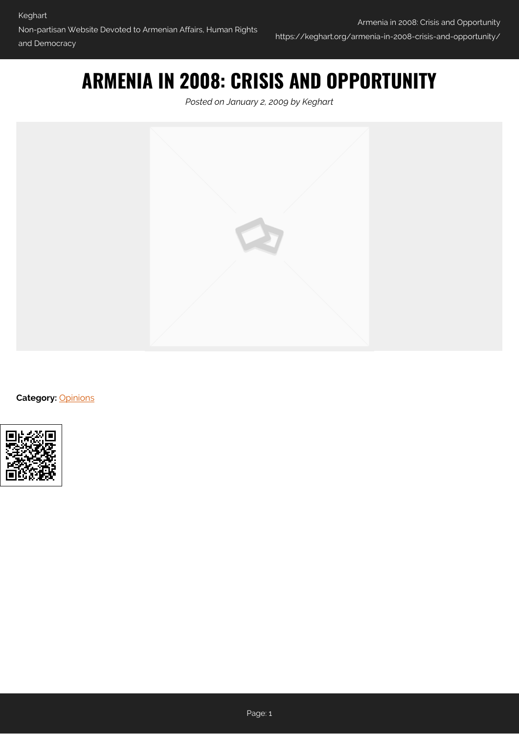## **ARMENIA IN 2008: CRISIS AND OPPORTUNITY**

*Posted on January 2, 2009 by Keghart*



**Category:** [Opinions](https://keghart.org/category/opinions/)

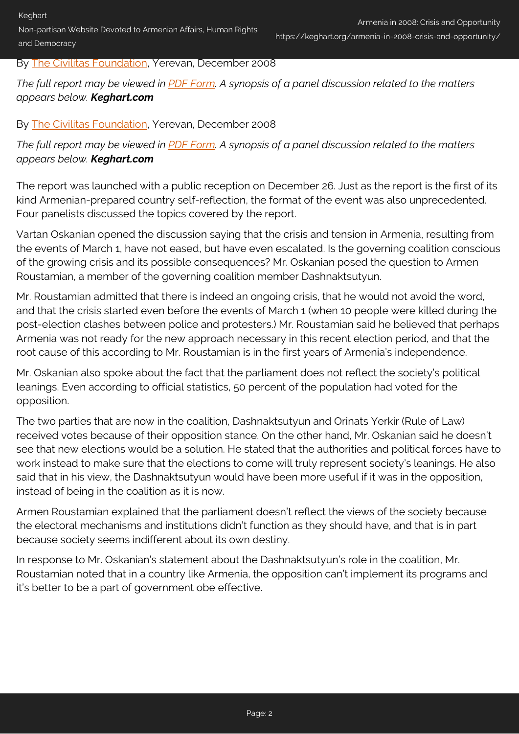Non-partisan Website Devoted to Armenian Affairs, Human Rights and Democracy

## By [The Civilitas Foundation](http://www.civilitasfoundation.org), Yerevan, December 2008

*The full report may be viewed in [PDF Form.](http://www.civilitasfoundation.org/cir/Armenia_in_2008_Crisis_and_opportunity_ENG.pdf) A synopsis of a panel discussion related to the matters appears below. Keghart.com*

## By [The Civilitas Foundation](http://www.civilitasfoundation.org), Yerevan, December 2008

*The full report may be viewed in [PDF Form.](http://www.civilitasfoundation.org/cir/Armenia_in_2008_Crisis_and_opportunity_ENG.pdf) A synopsis of a panel discussion related to the matters appears below. Keghart.com*

The report was launched with a public reception on December 26. Just as the report is the first of its kind Armenian-prepared country self-reflection, the format of the event was also unprecedented. Four panelists discussed the topics covered by the report.

Vartan Oskanian opened the discussion saying that the crisis and tension in Armenia, resulting from the events of March 1, have not eased, but have even escalated. Is the governing coalition conscious of the growing crisis and its possible consequences? Mr. Oskanian posed the question to Armen Roustamian, a member of the governing coalition member Dashnaktsutyun.

Mr. Roustamian admitted that there is indeed an ongoing crisis, that he would not avoid the word, and that the crisis started even before the events of March 1 (when 10 people were killed during the post-election clashes between police and protesters.) Mr. Roustamian said he believed that perhaps Armenia was not ready for the new approach necessary in this recent election period, and that the root cause of this according to Mr. Roustamian is in the first years of Armenia's independence.

Mr. Oskanian also spoke about the fact that the parliament does not reflect the society's political leanings. Even according to official statistics, 50 percent of the population had voted for the opposition.

The two parties that are now in the coalition, Dashnaktsutyun and Orinats Yerkir (Rule of Law) received votes because of their opposition stance. On the other hand, Mr. Oskanian said he doesn't see that new elections would be a solution. He stated that the authorities and political forces have to work instead to make sure that the elections to come will truly represent society's leanings. He also said that in his view, the Dashnaktsutyun would have been more useful if it was in the opposition, instead of being in the coalition as it is now.

Armen Roustamian explained that the parliament doesn't reflect the views of the society because the electoral mechanisms and institutions didn't function as they should have, and that is in part because society seems indifferent about its own destiny.

In response to Mr. Oskanian's statement about the Dashnaktsutyun's role in the coalition, Mr. Roustamian noted that in a country like Armenia, the opposition can't implement its programs and it's better to be a part of government obe effective.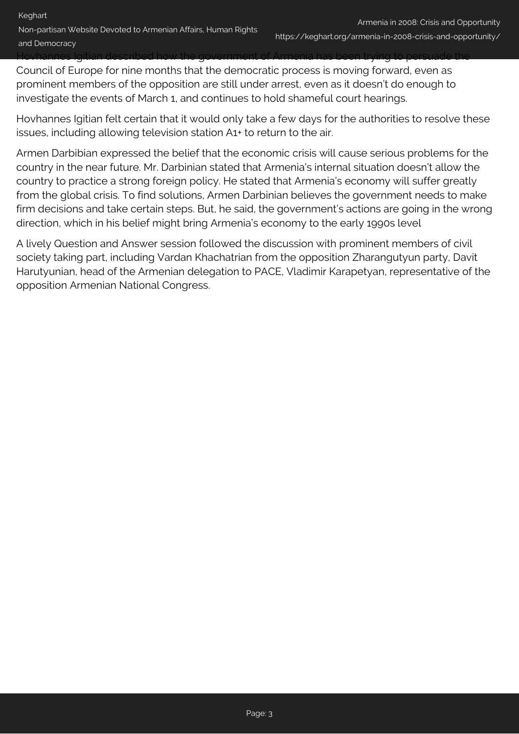Hovhannes Igitian described how the government of Armenia has been trying to persuade the

Council of Europe for nine months that the democratic process is moving forward, even as prominent members of the opposition are still under arrest, even as it doesn't do enough to investigate the events of March 1, and continues to hold shameful court hearings.

Hovhannes Igitian felt certain that it would only take a few days for the authorities to resolve these issues, including allowing television station A1+ to return to the air.

Armen Darbibian expressed the belief that the economic crisis will cause serious problems for the country in the near future. Mr. Darbinian stated that Armenia's internal situation doesn't allow the country to practice a strong foreign policy. He stated that Armenia's economy will suffer greatly from the global crisis. To find solutions, Armen Darbinian believes the government needs to make firm decisions and take certain steps. But, he said, the government's actions are going in the wrong direction, which in his belief might bring Armenia's economy to the early 1990s level

A lively Question and Answer session followed the discussion with prominent members of civil society taking part, including Vardan Khachatrian from the opposition Zharangutyun party, Davit Harutyunian, head of the Armenian delegation to PACE, Vladimir Karapetyan, representative of the opposition Armenian National Congress.